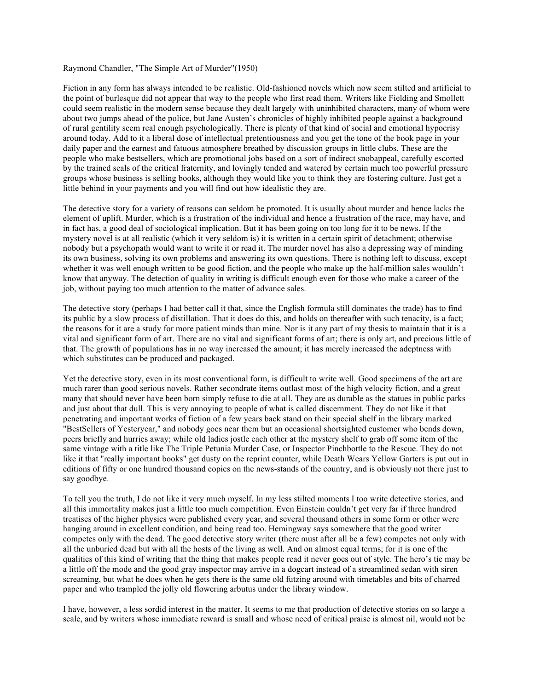## Raymond Chandler, "The Simple Art of Murder"(1950)

Fiction in any form has always intended to be realistic. Old-fashioned novels which now seem stilted and artificial to the point of burlesque did not appear that way to the people who first read them. Writers like Fielding and Smollett could seem realistic in the modern sense because they dealt largely with uninhibited characters, many of whom were about two jumps ahead of the police, but Jane Austen's chronicles of highly inhibited people against a background of rural gentility seem real enough psychologically. There is plenty of that kind of social and emotional hypocrisy around today. Add to it a liberal dose of intellectual pretentiousness and you get the tone of the book page in your daily paper and the earnest and fatuous atmosphere breathed by discussion groups in little clubs. These are the people who make bestsellers, which are promotional jobs based on a sort of indirect snobappeal, carefully escorted by the trained seals of the critical fraternity, and lovingly tended and watered by certain much too powerful pressure groups whose business is selling books, although they would like you to think they are fostering culture. Just get a little behind in your payments and you will find out how idealistic they are.

The detective story for a variety of reasons can seldom be promoted. It is usually about murder and hence lacks the element of uplift. Murder, which is a frustration of the individual and hence a frustration of the race, may have, and in fact has, a good deal of sociological implication. But it has been going on too long for it to be news. If the mystery novel is at all realistic (which it very seldom is) it is written in a certain spirit of detachment; otherwise nobody but a psychopath would want to write it or read it. The murder novel has also a depressing way of minding its own business, solving its own problems and answering its own questions. There is nothing left to discuss, except whether it was well enough written to be good fiction, and the people who make up the half-million sales wouldn't know that anyway. The detection of quality in writing is difficult enough even for those who make a career of the job, without paying too much attention to the matter of advance sales.

The detective story (perhaps I had better call it that, since the English formula still dominates the trade) has to find its public by a slow process of distillation. That it does do this, and holds on thereafter with such tenacity, is a fact; the reasons for it are a study for more patient minds than mine. Nor is it any part of my thesis to maintain that it is a vital and significant form of art. There are no vital and significant forms of art; there is only art, and precious little of that. The growth of populations has in no way increased the amount; it has merely increased the adeptness with which substitutes can be produced and packaged.

Yet the detective story, even in its most conventional form, is difficult to write well. Good specimens of the art are much rarer than good serious novels. Rather secondrate items outlast most of the high velocity fiction, and a great many that should never have been born simply refuse to die at all. They are as durable as the statues in public parks and just about that dull. This is very annoying to people of what is called discernment. They do not like it that penetrating and important works of fiction of a few years back stand on their special shelf in the library marked "BestSellers of Yesteryear," and nobody goes near them but an occasional shortsighted customer who bends down, peers briefly and hurries away; while old ladies jostle each other at the mystery shelf to grab off some item of the same vintage with a title like The Triple Petunia Murder Case, or Inspector Pinchbottle to the Rescue. They do not like it that "really important books" get dusty on the reprint counter, while Death Wears Yellow Garters is put out in editions of fifty or one hundred thousand copies on the news-stands of the country, and is obviously not there just to say goodbye.

To tell you the truth, I do not like it very much myself. In my less stilted moments I too write detective stories, and all this immortality makes just a little too much competition. Even Einstein couldn't get very far if three hundred treatises of the higher physics were published every year, and several thousand others in some form or other were hanging around in excellent condition, and being read too. Hemingway says somewhere that the good writer competes only with the dead. The good detective story writer (there must after all be a few) competes not only with all the unburied dead but with all the hosts of the living as well. And on almost equal terms; for it is one of the qualities of this kind of writing that the thing that makes people read it never goes out of style. The hero's tie may be a little off the mode and the good gray inspector may arrive in a dogcart instead of a streamlined sedan with siren screaming, but what he does when he gets there is the same old futzing around with timetables and bits of charred paper and who trampled the jolly old flowering arbutus under the library window.

I have, however, a less sordid interest in the matter. It seems to me that production of detective stories on so large a scale, and by writers whose immediate reward is small and whose need of critical praise is almost nil, would not be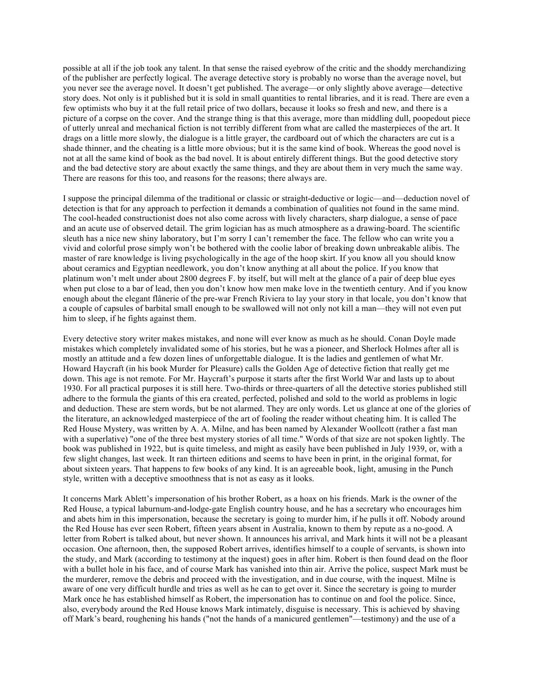possible at all if the job took any talent. In that sense the raised eyebrow of the critic and the shoddy merchandizing of the publisher are perfectly logical. The average detective story is probably no worse than the average novel, but you never see the average novel. It doesn't get published. The average—or only slightly above average—detective story does. Not only is it published but it is sold in small quantities to rental libraries, and it is read. There are even a few optimists who buy it at the full retail price of two dollars, because it looks so fresh and new, and there is a picture of a corpse on the cover. And the strange thing is that this average, more than middling dull, poopedout piece of utterly unreal and mechanical fiction is not terribly different from what are called the masterpieces of the art. It drags on a little more slowly, the dialogue is a little grayer, the cardboard out of which the characters are cut is a shade thinner, and the cheating is a little more obvious; but it is the same kind of book. Whereas the good novel is not at all the same kind of book as the bad novel. It is about entirely different things. But the good detective story and the bad detective story are about exactly the same things, and they are about them in very much the same way. There are reasons for this too, and reasons for the reasons; there always are.

I suppose the principal dilemma of the traditional or classic or straight-deductive or logic—and—deduction novel of detection is that for any approach to perfection it demands a combination of qualities not found in the same mind. The cool-headed constructionist does not also come across with lively characters, sharp dialogue, a sense of pace and an acute use of observed detail. The grim logician has as much atmosphere as a drawing-board. The scientific sleuth has a nice new shiny laboratory, but I'm sorry I can't remember the face. The fellow who can write you a vivid and colorful prose simply won't be bothered with the coolie labor of breaking down unbreakable alibis. The master of rare knowledge is living psychologically in the age of the hoop skirt. If you know all you should know about ceramics and Egyptian needlework, you don't know anything at all about the police. If you know that platinum won't melt under about 2800 degrees F. by itself, but will melt at the glance of a pair of deep blue eyes when put close to a bar of lead, then you don't know how men make love in the twentieth century. And if you know enough about the elegant flânerie of the pre-war French Riviera to lay your story in that locale, you don't know that a couple of capsules of barbital small enough to be swallowed will not only not kill a man—they will not even put him to sleep, if he fights against them.

Every detective story writer makes mistakes, and none will ever know as much as he should. Conan Doyle made mistakes which completely invalidated some of his stories, but he was a pioneer, and Sherlock Holmes after all is mostly an attitude and a few dozen lines of unforgettable dialogue. It is the ladies and gentlemen of what Mr. Howard Haycraft (in his book Murder for Pleasure) calls the Golden Age of detective fiction that really get me down. This age is not remote. For Mr. Haycraft's purpose it starts after the first World War and lasts up to about 1930. For all practical purposes it is still here. Two-thirds or three-quarters of all the detective stories published still adhere to the formula the giants of this era created, perfected, polished and sold to the world as problems in logic and deduction. These are stern words, but be not alarmed. They are only words. Let us glance at one of the glories of the literature, an acknowledged masterpiece of the art of fooling the reader without cheating him. It is called The Red House Mystery, was written by A. A. Milne, and has been named by Alexander Woollcott (rather a fast man with a superlative) "one of the three best mystery stories of all time." Words of that size are not spoken lightly. The book was published in 1922, but is quite timeless, and might as easily have been published in July 1939, or, with a few slight changes, last week. It ran thirteen editions and seems to have been in print, in the original format, for about sixteen years. That happens to few books of any kind. It is an agreeable book, light, amusing in the Punch style, written with a deceptive smoothness that is not as easy as it looks.

It concerns Mark Ablett's impersonation of his brother Robert, as a hoax on his friends. Mark is the owner of the Red House, a typical laburnum-and-lodge-gate English country house, and he has a secretary who encourages him and abets him in this impersonation, because the secretary is going to murder him, if he pulls it off. Nobody around the Red House has ever seen Robert, fifteen years absent in Australia, known to them by repute as a no-good. A letter from Robert is talked about, but never shown. It announces his arrival, and Mark hints it will not be a pleasant occasion. One afternoon, then, the supposed Robert arrives, identifies himself to a couple of servants, is shown into the study, and Mark (according to testimony at the inquest) goes in after him. Robert is then found dead on the floor with a bullet hole in his face, and of course Mark has vanished into thin air. Arrive the police, suspect Mark must be the murderer, remove the debris and proceed with the investigation, and in due course, with the inquest. Milne is aware of one very difficult hurdle and tries as well as he can to get over it. Since the secretary is going to murder Mark once he has established himself as Robert, the impersonation has to continue on and fool the police. Since, also, everybody around the Red House knows Mark intimately, disguise is necessary. This is achieved by shaving off Mark's beard, roughening his hands ("not the hands of a manicured gentlemen"—testimony) and the use of a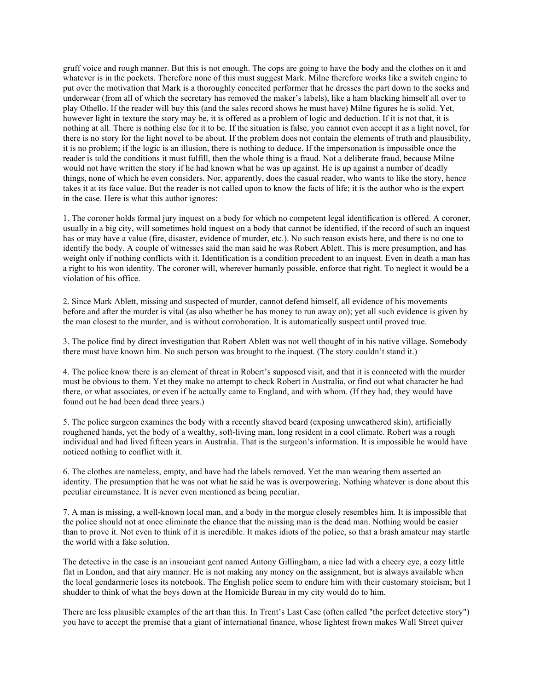gruff voice and rough manner. But this is not enough. The cops are going to have the body and the clothes on it and whatever is in the pockets. Therefore none of this must suggest Mark. Milne therefore works like a switch engine to put over the motivation that Mark is a thoroughly conceited performer that he dresses the part down to the socks and underwear (from all of which the secretary has removed the maker's labels), like a ham blacking himself all over to play Othello. If the reader will buy this (and the sales record shows he must have) Milne figures he is solid. Yet, however light in texture the story may be, it is offered as a problem of logic and deduction. If it is not that, it is nothing at all. There is nothing else for it to be. If the situation is false, you cannot even accept it as a light novel, for there is no story for the light novel to be about. If the problem does not contain the elements of truth and plausibility, it is no problem; if the logic is an illusion, there is nothing to deduce. If the impersonation is impossible once the reader is told the conditions it must fulfill, then the whole thing is a fraud. Not a deliberate fraud, because Milne would not have written the story if he had known what he was up against. He is up against a number of deadly things, none of which he even considers. Nor, apparently, does the casual reader, who wants to like the story, hence takes it at its face value. But the reader is not called upon to know the facts of life; it is the author who is the expert in the case. Here is what this author ignores:

1. The coroner holds formal jury inquest on a body for which no competent legal identification is offered. A coroner, usually in a big city, will sometimes hold inquest on a body that cannot be identified, if the record of such an inquest has or may have a value (fire, disaster, evidence of murder, etc.). No such reason exists here, and there is no one to identify the body. A couple of witnesses said the man said he was Robert Ablett. This is mere presumption, and has weight only if nothing conflicts with it. Identification is a condition precedent to an inquest. Even in death a man has a right to his won identity. The coroner will, wherever humanly possible, enforce that right. To neglect it would be a violation of his office.

2. Since Mark Ablett, missing and suspected of murder, cannot defend himself, all evidence of his movements before and after the murder is vital (as also whether he has money to run away on); yet all such evidence is given by the man closest to the murder, and is without corroboration. It is automatically suspect until proved true.

3. The police find by direct investigation that Robert Ablett was not well thought of in his native village. Somebody there must have known him. No such person was brought to the inquest. (The story couldn't stand it.)

4. The police know there is an element of threat in Robert's supposed visit, and that it is connected with the murder must be obvious to them. Yet they make no attempt to check Robert in Australia, or find out what character he had there, or what associates, or even if he actually came to England, and with whom. (If they had, they would have found out he had been dead three years.)

5. The police surgeon examines the body with a recently shaved beard (exposing unweathered skin), artificially roughened hands, yet the body of a wealthy, soft-living man, long resident in a cool climate. Robert was a rough individual and had lived fifteen years in Australia. That is the surgeon's information. It is impossible he would have noticed nothing to conflict with it.

6. The clothes are nameless, empty, and have had the labels removed. Yet the man wearing them asserted an identity. The presumption that he was not what he said he was is overpowering. Nothing whatever is done about this peculiar circumstance. It is never even mentioned as being peculiar.

7. A man is missing, a well-known local man, and a body in the morgue closely resembles him. It is impossible that the police should not at once eliminate the chance that the missing man is the dead man. Nothing would be easier than to prove it. Not even to think of it is incredible. It makes idiots of the police, so that a brash amateur may startle the world with a fake solution.

The detective in the case is an insouciant gent named Antony Gillingham, a nice lad with a cheery eye, a cozy little flat in London, and that airy manner. He is not making any money on the assignment, but is always available when the local gendarmerie loses its notebook. The English police seem to endure him with their customary stoicism; but I shudder to think of what the boys down at the Homicide Bureau in my city would do to him.

There are less plausible examples of the art than this. In Trent's Last Case (often called "the perfect detective story") you have to accept the premise that a giant of international finance, whose lightest frown makes Wall Street quiver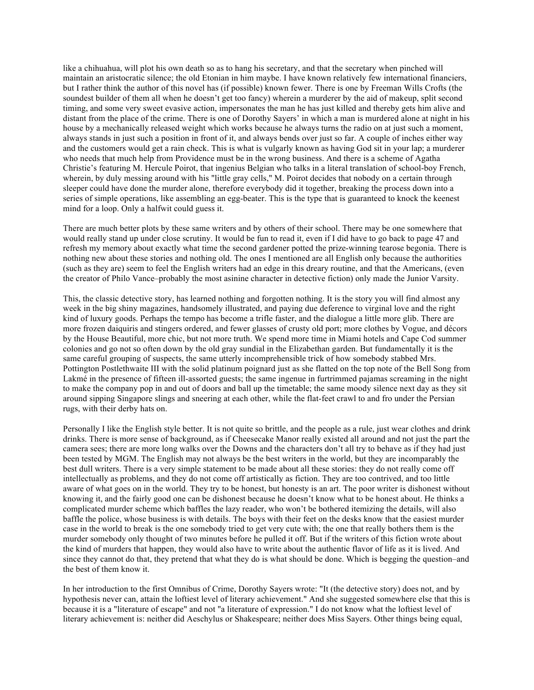like a chihuahua, will plot his own death so as to hang his secretary, and that the secretary when pinched will maintain an aristocratic silence; the old Etonian in him maybe. I have known relatively few international financiers, but I rather think the author of this novel has (if possible) known fewer. There is one by Freeman Wills Crofts (the soundest builder of them all when he doesn't get too fancy) wherein a murderer by the aid of makeup, split second timing, and some very sweet evasive action, impersonates the man he has just killed and thereby gets him alive and distant from the place of the crime. There is one of Dorothy Sayers' in which a man is murdered alone at night in his house by a mechanically released weight which works because he always turns the radio on at just such a moment, always stands in just such a position in front of it, and always bends over just so far. A couple of inches either way and the customers would get a rain check. This is what is vulgarly known as having God sit in your lap; a murderer who needs that much help from Providence must be in the wrong business. And there is a scheme of Agatha Christie's featuring M. Hercule Poirot, that ingenius Belgian who talks in a literal translation of school-boy French, wherein, by duly messing around with his "little gray cells," M. Poirot decides that nobody on a certain through sleeper could have done the murder alone, therefore everybody did it together, breaking the process down into a series of simple operations, like assembling an egg-beater. This is the type that is guaranteed to knock the keenest mind for a loop. Only a halfwit could guess it.

There are much better plots by these same writers and by others of their school. There may be one somewhere that would really stand up under close scrutiny. It would be fun to read it, even if I did have to go back to page 47 and refresh my memory about exactly what time the second gardener potted the prize-winning tearose begonia. There is nothing new about these stories and nothing old. The ones I mentioned are all English only because the authorities (such as they are) seem to feel the English writers had an edge in this dreary routine, and that the Americans, (even the creator of Philo Vance–probably the most asinine character in detective fiction) only made the Junior Varsity.

This, the classic detective story, has learned nothing and forgotten nothing. It is the story you will find almost any week in the big shiny magazines, handsomely illustrated, and paying due deference to virginal love and the right kind of luxury goods. Perhaps the tempo has become a trifle faster, and the dialogue a little more glib. There are more frozen daiquiris and stingers ordered, and fewer glasses of crusty old port; more clothes by Vogue, and décors by the House Beautiful, more chic, but not more truth. We spend more time in Miami hotels and Cape Cod summer colonies and go not so often down by the old gray sundial in the Elizabethan garden. But fundamentally it is the same careful grouping of suspects, the same utterly incomprehensible trick of how somebody stabbed Mrs. Pottington Postlethwaite III with the solid platinum poignard just as she flatted on the top note of the Bell Song from Lakmé in the presence of fifteen ill-assorted guests; the same ingenue in furtrimmed pajamas screaming in the night to make the company pop in and out of doors and ball up the timetable; the same moody silence next day as they sit around sipping Singapore slings and sneering at each other, while the flat-feet crawl to and fro under the Persian rugs, with their derby hats on.

Personally I like the English style better. It is not quite so brittle, and the people as a rule, just wear clothes and drink drinks. There is more sense of background, as if Cheesecake Manor really existed all around and not just the part the camera sees; there are more long walks over the Downs and the characters don't all try to behave as if they had just been tested by MGM. The English may not always be the best writers in the world, but they are incomparably the best dull writers. There is a very simple statement to be made about all these stories: they do not really come off intellectually as problems, and they do not come off artistically as fiction. They are too contrived, and too little aware of what goes on in the world. They try to be honest, but honesty is an art. The poor writer is dishonest without knowing it, and the fairly good one can be dishonest because he doesn't know what to be honest about. He thinks a complicated murder scheme which baffles the lazy reader, who won't be bothered itemizing the details, will also baffle the police, whose business is with details. The boys with their feet on the desks know that the easiest murder case in the world to break is the one somebody tried to get very cute with; the one that really bothers them is the murder somebody only thought of two minutes before he pulled it off. But if the writers of this fiction wrote about the kind of murders that happen, they would also have to write about the authentic flavor of life as it is lived. And since they cannot do that, they pretend that what they do is what should be done. Which is begging the question–and the best of them know it.

In her introduction to the first Omnibus of Crime, Dorothy Sayers wrote: "It (the detective story) does not, and by hypothesis never can, attain the loftiest level of literary achievement." And she suggested somewhere else that this is because it is a "literature of escape" and not "a literature of expression." I do not know what the loftiest level of literary achievement is: neither did Aeschylus or Shakespeare; neither does Miss Sayers. Other things being equal,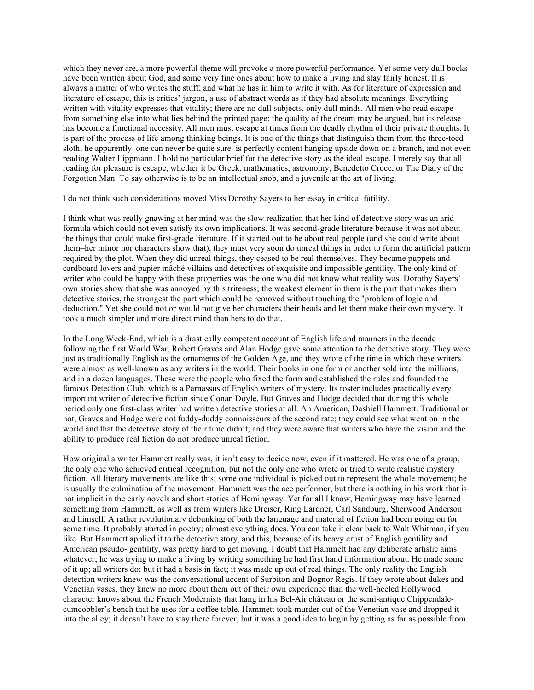which they never are, a more powerful theme will provoke a more powerful performance. Yet some very dull books have been written about God, and some very fine ones about how to make a living and stay fairly honest. It is always a matter of who writes the stuff, and what he has in him to write it with. As for literature of expression and literature of escape, this is critics' jargon, a use of abstract words as if they had absolute meanings. Everything written with vitality expresses that vitality; there are no dull subjects, only dull minds. All men who read escape from something else into what lies behind the printed page; the quality of the dream may be argued, but its release has become a functional necessity. All men must escape at times from the deadly rhythm of their private thoughts. It is part of the process of life among thinking beings. It is one of the things that distinguish them from the three-toed sloth; he apparently–one can never be quite sure–is perfectly content hanging upside down on a branch, and not even reading Walter Lippmann. I hold no particular brief for the detective story as the ideal escape. I merely say that all reading for pleasure is escape, whether it be Greek, mathematics, astronomy, Benedetto Croce, or The Diary of the Forgotten Man. To say otherwise is to be an intellectual snob, and a juvenile at the art of living.

I do not think such considerations moved Miss Dorothy Sayers to her essay in critical futility.

I think what was really gnawing at her mind was the slow realization that her kind of detective story was an arid formula which could not even satisfy its own implications. It was second-grade literature because it was not about the things that could make first-grade literature. If it started out to be about real people (and she could write about them–her minor nor characters show that), they must very soon do unreal things in order to form the artificial pattern required by the plot. When they did unreal things, they ceased to be real themselves. They became puppets and cardboard lovers and papier mâché villains and detectives of exquisite and impossible gentility. The only kind of writer who could be happy with these properties was the one who did not know what reality was. Dorothy Sayers' own stories show that she was annoyed by this triteness; the weakest element in them is the part that makes them detective stories, the strongest the part which could be removed without touching the "problem of logic and deduction." Yet she could not or would not give her characters their heads and let them make their own mystery. It took a much simpler and more direct mind than hers to do that.

In the Long Week-End, which is a drastically competent account of English life and manners in the decade following the first World War, Robert Graves and Alan Hodge gave some attention to the detective story. They were just as traditionally English as the ornaments of the Golden Age, and they wrote of the time in which these writers were almost as well-known as any writers in the world. Their books in one form or another sold into the millions, and in a dozen languages. These were the people who fixed the form and established the rules and founded the famous Detection Club, which is a Parnassus of English writers of mystery. Its roster includes practically every important writer of detective fiction since Conan Doyle. But Graves and Hodge decided that during this whole period only one first-class writer had written detective stories at all. An American, Dashiell Hammett. Traditional or not, Graves and Hodge were not fuddy-duddy connoisseurs of the second rate; they could see what went on in the world and that the detective story of their time didn't; and they were aware that writers who have the vision and the ability to produce real fiction do not produce unreal fiction.

How original a writer Hammett really was, it isn't easy to decide now, even if it mattered. He was one of a group, the only one who achieved critical recognition, but not the only one who wrote or tried to write realistic mystery fiction. All literary movements are like this; some one individual is picked out to represent the whole movement; he is usually the culmination of the movement. Hammett was the ace performer, but there is nothing in his work that is not implicit in the early novels and short stories of Hemingway. Yet for all I know, Hemingway may have learned something from Hammett, as well as from writers like Dreiser, Ring Lardner, Carl Sandburg, Sherwood Anderson and himself. A rather revolutionary debunking of both the language and material of fiction had been going on for some time. It probably started in poetry; almost everything does. You can take it clear back to Walt Whitman, if you like. But Hammett applied it to the detective story, and this, because of its heavy crust of English gentility and American pseudo- gentility, was pretty hard to get moving. I doubt that Hammett had any deliberate artistic aims whatever; he was trying to make a living by writing something he had first hand information about. He made some of it up; all writers do; but it had a basis in fact; it was made up out of real things. The only reality the English detection writers knew was the conversational accent of Surbiton and Bognor Regis. If they wrote about dukes and Venetian vases, they knew no more about them out of their own experience than the well-heeled Hollywood character knows about the French Modernists that hang in his Bel-Air château or the semi-antique Chippendalecumcobbler's bench that he uses for a coffee table. Hammett took murder out of the Venetian vase and dropped it into the alley; it doesn't have to stay there forever, but it was a good idea to begin by getting as far as possible from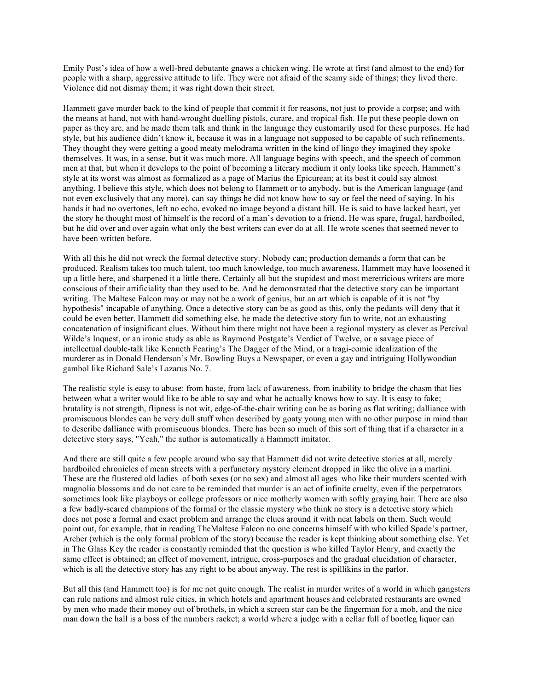Emily Post's idea of how a well-bred debutante gnaws a chicken wing. He wrote at first (and almost to the end) for people with a sharp, aggressive attitude to life. They were not afraid of the seamy side of things; they lived there. Violence did not dismay them; it was right down their street.

Hammett gave murder back to the kind of people that commit it for reasons, not just to provide a corpse; and with the means at hand, not with hand-wrought duelling pistols, curare, and tropical fish. He put these people down on paper as they are, and he made them talk and think in the language they customarily used for these purposes. He had style, but his audience didn't know it, because it was in a language not supposed to be capable of such refinements. They thought they were getting a good meaty melodrama written in the kind of lingo they imagined they spoke themselves. It was, in a sense, but it was much more. All language begins with speech, and the speech of common men at that, but when it develops to the point of becoming a literary medium it only looks like speech. Hammett's style at its worst was almost as formalized as a page of Marius the Epicurean; at its best it could say almost anything. I believe this style, which does not belong to Hammett or to anybody, but is the American language (and not even exclusively that any more), can say things he did not know how to say or feel the need of saying. In his hands it had no overtones, left no echo, evoked no image beyond a distant hill. He is said to have lacked heart, yet the story he thought most of himself is the record of a man's devotion to a friend. He was spare, frugal, hardboiled, but he did over and over again what only the best writers can ever do at all. He wrote scenes that seemed never to have been written before.

With all this he did not wreck the formal detective story. Nobody can; production demands a form that can be produced. Realism takes too much talent, too much knowledge, too much awareness. Hammett may have loosened it up a little here, and sharpened it a little there. Certainly all but the stupidest and most meretricious writers are more conscious of their artificiality than they used to be. And he demonstrated that the detective story can be important writing. The Maltese Falcon may or may not be a work of genius, but an art which is capable of it is not "by hypothesis" incapable of anything. Once a detective story can be as good as this, only the pedants will deny that it could be even better. Hammett did something else, he made the detective story fun to write, not an exhausting concatenation of insignificant clues. Without him there might not have been a regional mystery as clever as Percival Wilde's Inquest, or an ironic study as able as Raymond Postgate's Verdict of Twelve, or a savage piece of intellectual double-talk like Kenneth Fearing's The Dagger of the Mind, or a tragi-comic idealization of the murderer as in Donald Henderson's Mr. Bowling Buys a Newspaper, or even a gay and intriguing Hollywoodian gambol like Richard Sale's Lazarus No. 7.

The realistic style is easy to abuse: from haste, from lack of awareness, from inability to bridge the chasm that lies between what a writer would like to be able to say and what he actually knows how to say. It is easy to fake; brutality is not strength, flipness is not wit, edge-of-the-chair writing can be as boring as flat writing; dalliance with promiscuous blondes can be very dull stuff when described by goaty young men with no other purpose in mind than to describe dalliance with promiscuous blondes. There has been so much of this sort of thing that if a character in a detective story says, "Yeah," the author is automatically a Hammett imitator.

And there arc still quite a few people around who say that Hammett did not write detective stories at all, merely hardboiled chronicles of mean streets with a perfunctory mystery element dropped in like the olive in a martini. These are the flustered old ladies–of both sexes (or no sex) and almost all ages–who like their murders scented with magnolia blossoms and do not care to be reminded that murder is an act of infinite cruelty, even if the perpetrators sometimes look like playboys or college professors or nice motherly women with softly graying hair. There are also a few badly-scared champions of the formal or the classic mystery who think no story is a detective story which does not pose a formal and exact problem and arrange the clues around it with neat labels on them. Such would point out, for example, that in reading TheMaltese Falcon no one concerns himself with who killed Spade's partner, Archer (which is the only formal problem of the story) because the reader is kept thinking about something else. Yet in The Glass Key the reader is constantly reminded that the question is who killed Taylor Henry, and exactly the same effect is obtained; an effect of movement, intrigue, cross-purposes and the gradual elucidation of character, which is all the detective story has any right to be about anyway. The rest is spillikins in the parlor.

But all this (and Hammett too) is for me not quite enough. The realist in murder writes of a world in which gangsters can rule nations and almost rule cities, in which hotels and apartment houses and celebrated restaurants are owned by men who made their money out of brothels, in which a screen star can be the fingerman for a mob, and the nice man down the hall is a boss of the numbers racket; a world where a judge with a cellar full of bootleg liquor can